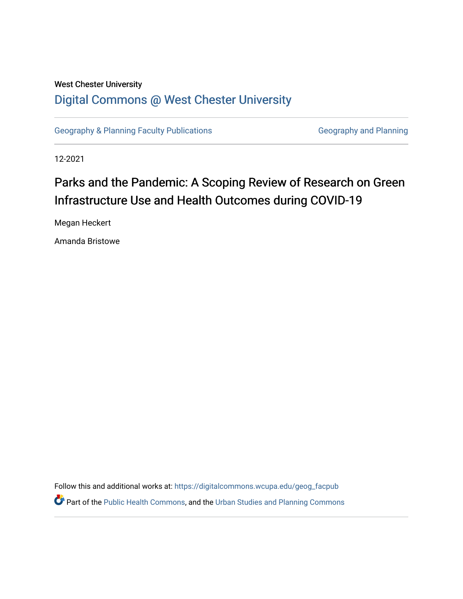# West Chester University [Digital Commons @ West Chester University](https://digitalcommons.wcupa.edu/)

[Geography & Planning Faculty Publications](https://digitalcommons.wcupa.edu/geog_facpub) [Geography and Planning](https://digitalcommons.wcupa.edu/geog) Geography and Planning

12-2021

# Parks and the Pandemic: A Scoping Review of Research on Green Infrastructure Use and Health Outcomes during COVID-19

Megan Heckert

Amanda Bristowe

Follow this and additional works at: [https://digitalcommons.wcupa.edu/geog\\_facpub](https://digitalcommons.wcupa.edu/geog_facpub?utm_source=digitalcommons.wcupa.edu%2Fgeog_facpub%2F23&utm_medium=PDF&utm_campaign=PDFCoverPages)  **C** Part of the [Public Health Commons,](http://network.bepress.com/hgg/discipline/738?utm_source=digitalcommons.wcupa.edu%2Fgeog_facpub%2F23&utm_medium=PDF&utm_campaign=PDFCoverPages) and the Urban Studies and Planning Commons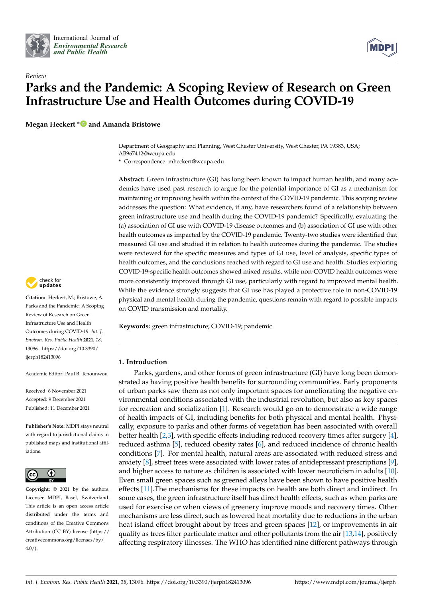



# *Review* **Parks and the Pandemic: A Scoping Review of Research on Green Infrastructure Use and Health Outcomes during COVID-19**

**Megan Heckert [\\*](https://orcid.org/0000-0002-8947-0409) and Amanda Bristowe**

Department of Geography and Planning, West Chester University, West Chester, PA 19383, USA; AB967412@wcupa.edu

**\*** Correspondence: mheckert@wcupa.edu

**Abstract:** Green infrastructure (GI) has long been known to impact human health, and many academics have used past research to argue for the potential importance of GI as a mechanism for maintaining or improving health within the context of the COVID-19 pandemic. This scoping review addresses the question: What evidence, if any, have researchers found of a relationship between green infrastructure use and health during the COVID-19 pandemic? Specifically, evaluating the (a) association of GI use with COVID-19 disease outcomes and (b) association of GI use with other health outcomes as impacted by the COVID-19 pandemic. Twenty-two studies were identified that measured GI use and studied it in relation to health outcomes during the pandemic. The studies were reviewed for the specific measures and types of GI use, level of analysis, specific types of health outcomes, and the conclusions reached with regard to GI use and health. Studies exploring COVID-19-specific health outcomes showed mixed results, while non-COVID health outcomes were more consistently improved through GI use, particularly with regard to improved mental health. While the evidence strongly suggests that GI use has played a protective role in non-COVID-19 physical and mental health during the pandemic, questions remain with regard to possible impacts on COVID transmission and mortality.

**Keywords:** green infrastructure; COVID-19; pandemic

#### **1. Introduction**

Parks, gardens, and other forms of green infrastructure (GI) have long been demonstrated as having positive health benefits for surrounding communities. Early proponents of urban parks saw them as not only important spaces for ameliorating the negative environmental conditions associated with the industrial revolution, but also as key spaces for recreation and socialization [\[1\]](#page-15-0). Research would go on to demonstrate a wide range of health impacts of GI, including benefits for both physical and mental health. Physically, exposure to parks and other forms of vegetation has been associated with overall better health [\[2](#page-15-1)[,3\]](#page-15-2), with specific effects including reduced recovery times after surgery [\[4\]](#page-15-3), reduced asthma [\[5\]](#page-15-4), reduced obesity rates [\[6\]](#page-15-5), and reduced incidence of chronic health conditions [\[7\]](#page-15-6). For mental health, natural areas are associated with reduced stress and anxiety [\[8\]](#page-15-7), street trees were associated with lower rates of antidepressant prescriptions [\[9\]](#page-15-8), and higher access to nature as children is associated with lower neuroticism in adults [\[10\]](#page-15-9). Even small green spaces such as greened alleys have been shown to have positive health effects [\[11\]](#page-15-10).The mechanisms for these impacts on health are both direct and indirect. In some cases, the green infrastructure itself has direct health effects, such as when parks are used for exercise or when views of greenery improve moods and recovery times. Other mechanisms are less direct, such as lowered heat mortality due to reductions in the urban heat island effect brought about by trees and green spaces [\[12\]](#page-15-11), or improvements in air quality as trees filter particulate matter and other pollutants from the air [\[13,](#page-15-12)[14\]](#page-15-13), positively affecting respiratory illnesses. The WHO has identified nine different pathways through



**Citation:** Heckert, M.; Bristowe, A. Parks and the Pandemic: A Scoping Review of Research on Green Infrastructure Use and Health Outcomes during COVID-19. *Int. J. Environ. Res. Public Health* **2021**, *18*, 13096. [https://doi.org/10.3390/](https://doi.org/10.3390/ijerph182413096) [ijerph182413096](https://doi.org/10.3390/ijerph182413096)

Academic Editor: Paul B. Tchounwou

Received: 6 November 2021 Accepted: 9 December 2021 Published: 11 December 2021

**Publisher's Note:** MDPI stays neutral with regard to jurisdictional claims in published maps and institutional affiliations.



**Copyright:** © 2021 by the authors. Licensee MDPI, Basel, Switzerland. This article is an open access article distributed under the terms and conditions of the Creative Commons Attribution (CC BY) license (https:/[/](https://creativecommons.org/licenses/by/4.0/) [creativecommons.org/licenses/by/](https://creativecommons.org/licenses/by/4.0/)  $4.0/$ ).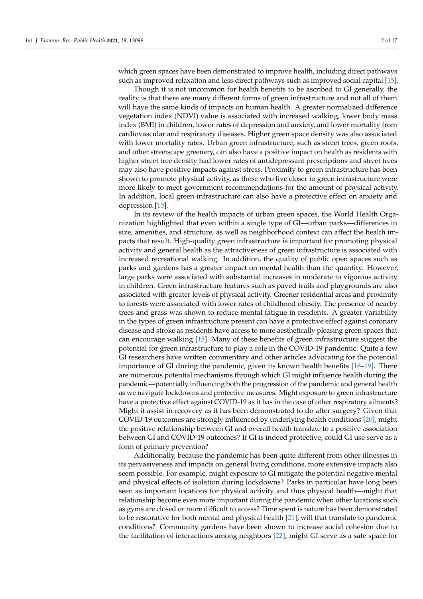which green spaces have been demonstrated to improve health, including direct pathways such as improved relaxation and less direct pathways such as improved social capital [\[15\]](#page-15-14).

Though it is not uncommon for health benefits to be ascribed to GI generally, the reality is that there are many different forms of green infrastructure and not all of them will have the same kinds of impacts on human health. A greater normalized difference vegetation index (NDVI) value is associated with increased walking, lower body mass index (BMI) in children, lower rates of depression and anxiety, and lower mortality from cardiovascular and respiratory diseases. Higher green space density was also associated with lower mortality rates. Urban green infrastructure, such as street trees, green roofs, and other streetscape greenery, can also have a positive impact on health as residents with higher street tree density had lower rates of antidepressant prescriptions and street trees may also have positive impacts against stress. Proximity to green infrastructure has been shown to promote physical activity, as those who live closer to green infrastructure were more likely to meet government recommendations for the amount of physical activity. In addition, local green infrastructure can also have a protective effect on anxiety and depression [\[15\]](#page-15-14).

In its review of the health impacts of urban green spaces, the World Health Organization highlighted that even within a single type of GI—urban parks—differences in size, amenities, and structure, as well as neighborhood context can affect the health impacts that result. High-quality green infrastructure is important for promoting physical activity and general health as the attractiveness of green infrastructure is associated with increased recreational walking. In addition, the quality of public open spaces such as parks and gardens has a greater impact on mental health than the quantity. However, large parks were associated with substantial increases in moderate to vigorous activity in children. Green infrastructure features such as paved trails and playgrounds are also associated with greater levels of physical activity. Greener residential areas and proximity to forests were associated with lower rates of childhood obesity. The presence of nearby trees and grass was shown to reduce mental fatigue in residents. A greater variability in the types of green infrastructure present can have a protective effect against coronary disease and stroke as residents have access to more aesthetically pleasing green spaces that can encourage walking [\[15\]](#page-15-14). Many of these benefits of green infrastructure suggest the potential for green infrastructure to play a role in the COVID-19 pandemic. Quite a few GI researchers have written commentary and other articles advocating for the potential importance of GI during the pandemic, given its known health benefits [\[16–](#page-15-15)[19\]](#page-15-16). There are numerous potential mechanisms through which GI might influence health during the pandemic—potentially influencing both the progression of the pandemic and general health as we navigate lockdowns and protective measures. Might exposure to green infrastructure have a protective effect against COVID-19 as it has in the case of other respiratory ailments? Might it assist in recovery as it has been demonstrated to do after surgery? Given that COVID-19 outcomes are strongly influenced by underlying health conditions [\[20\]](#page-15-17), might the positive relationship between GI and overall health translate to a positive association between GI and COVID-19 outcomes? If GI is indeed protective, could GI use serve as a form of primary prevention?

Additionally, because the pandemic has been quite different from other illnesses in its pervasiveness and impacts on general living conditions, more extensive impacts also seem possible. For example, might exposure to GI mitigate the potential negative mental and physical effects of isolation during lockdowns? Parks in particular have long been seen as important locations for physical activity and thus physical health—might that relationship become even more important during the pandemic when other locations such as gyms are closed or more difficult to access? Time spent is nature has been demonstrated to be restorative for both mental and physical health [\[21\]](#page-15-18); will that translate to pandemic conditions? Community gardens have been shown to increase social cohesion due to the facilitation of interactions among neighbors [\[22\]](#page-15-19); might GI serve as a safe space for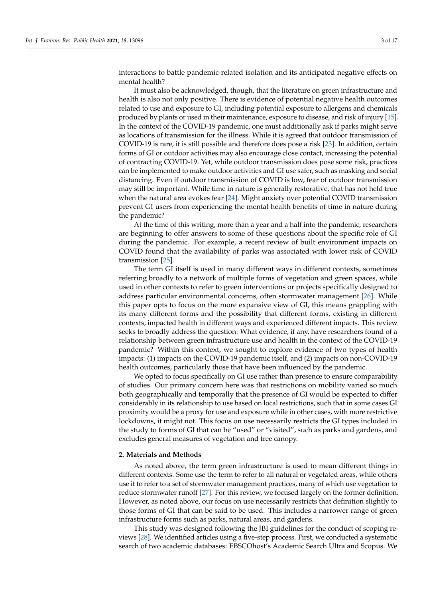interactions to battle pandemic-related isolation and its anticipated negative effects on mental health?

It must also be acknowledged, though, that the literature on green infrastructure and health is also not only positive. There is evidence of potential negative health outcomes related to use and exposure to GI, including potential exposure to allergens and chemicals produced by plants or used in their maintenance, exposure to disease, and risk of injury [\[15\]](#page-15-14). In the context of the COVID-19 pandemic, one must additionally ask if parks might serve as locations of transmission for the illness. While it is agreed that outdoor transmission of COVID-19 is rare, it is still possible and therefore does pose a risk [\[23\]](#page-15-20). In addition, certain forms of GI or outdoor activities may also encourage close contact, increasing the potential of contracting COVID-19. Yet, while outdoor transmission does pose some risk, practices can be implemented to make outdoor activities and GI use safer, such as masking and social distancing. Even if outdoor transmission of COVID is low, fear of outdoor transmission may still be important. While time in nature is generally restorative, that has not held true when the natural area evokes fear [\[24\]](#page-15-21). Might anxiety over potential COVID transmission prevent GI users from experiencing the mental health benefits of time in nature during the pandemic?

At the time of this writing, more than a year and a half into the pandemic, researchers are beginning to offer answers to some of these questions about the specific role of GI during the pandemic. For example, a recent review of built environment impacts on COVID found that the availability of parks was associated with lower risk of COVID transmission [\[25\]](#page-15-22).

The term GI itself is used in many different ways in different contexts, sometimes referring broadly to a network of multiple forms of vegetation and green spaces, while used in other contexts to refer to green interventions or projects specifically designed to address particular environmental concerns, often stormwater management [\[26\]](#page-15-23). While this paper opts to focus on the more expansive view of GI, this means grappling with its many different forms and the possibility that different forms, existing in different contexts, impacted health in different ways and experienced different impacts. This review seeks to broadly address the question: What evidence, if any, have researchers found of a relationship between green infrastructure use and health in the context of the COVID-19 pandemic? Within this context, we sought to explore evidence of two types of health impacts: (1) impacts on the COVID-19 pandemic itself, and (2) impacts on non-COVID-19 health outcomes, particularly those that have been influenced by the pandemic.

We opted to focus specifically on GI use rather than presence to ensure comparability of studies. Our primary concern here was that restrictions on mobility varied so much both geographically and temporally that the presence of GI would be expected to differ considerably in its relationship to use based on local restrictions, such that in some cases GI proximity would be a proxy for use and exposure while in other cases, with more restrictive lockdowns, it might not. This focus on use necessarily restricts the GI types included in the study to forms of GI that can be "used" or "visited", such as parks and gardens, and excludes general measures of vegetation and tree canopy.

#### **2. Materials and Methods**

As noted above, the term green infrastructure is used to mean different things in different contexts. Some use the term to refer to all natural or vegetated areas, while others use it to refer to a set of stormwater management practices, many of which use vegetation to reduce stormwater runoff [\[27\]](#page-15-24). For this review, we focused largely on the former definition. However, as noted above, our focus on use necessarily restricts that definition slightly to those forms of GI that can be said to be used. This includes a narrower range of green infrastructure forms such as parks, natural areas, and gardens.

This study was designed following the JBI guidelines for the conduct of scoping reviews [\[28\]](#page-15-25). We identified articles using a five-step process. First, we conducted a systematic search of two academic databases: EBSCOhost's Academic Search Ultra and Scopus. We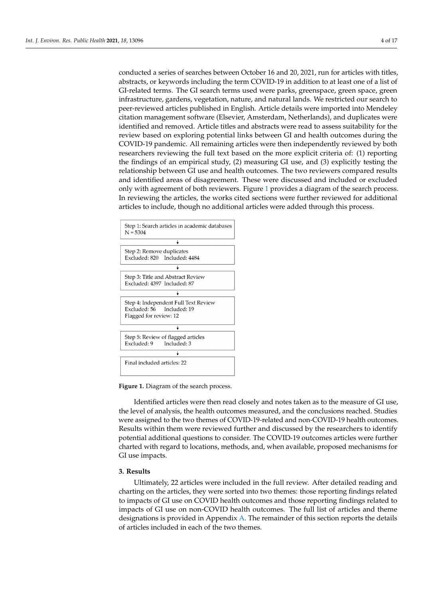conducted a series of searches between October 16 and 20, 2021, run for articles with titles, abstracts, or keywords including the term COVID-19 in addition to at least one of a list of GI-related terms. The GI search terms used were parks, greenspace, green space, green infrastructure, gardens, vegetation, nature, and natural lands. We restricted our search to peer-reviewed articles published in English. Article details were imported into Mendeley citation management software (Elsevier, Amsterdam, Netherlands), and duplicates were identified and removed. Article titles and abstracts were read to assess suitability for the review based on exploring potential links between GI and health outcomes during the COVID-19 pandemic. All remaining articles were then independently reviewed by both

researchers reviewing the full text based on the more explicit criteria of: (1) reporting the findings of an empirical study, (2) measuring GI use, and (3) explicitly testing the relationship between GI use and health outcomes. The two reviewers compared results and identified areas of disagreement. These were discussed and included or excluded only wi[th](#page-4-0) agreement of both reviewers. Figure 1 provides a diagram of the search process. In reviewing the articles, the works cited sections were further reviewed for additional articles to include*,* though no additional articles were added through this process.

<span id="page-4-0"></span>

**Figure 1.** Diagram of the search process. **Figure 1.** Diagram of the search process.

Identified articles were then read closely and notes taken as to the measure of GI use, Identified articles were then read closely and notes taken as to the measure of GI use, the level of analysis, the health outcomes measured, and the conclusions reached. Studies the level of analysis, the health outcomes measured, and the conclusions reached. Studies were assigned to the two themes of COVID-19-related and non-COVID-19 health were assigned to the two themes of COVID-19-related and non-COVID-19 health outcomes. Results within them were reviewed further and discussed by the researchers to identify potential additional questions to consider. The COVID-19 outcomes articles were further charted with regard to locations, methods, and, when available, proposed mechanisms for GI use impacts.

## **3. Results 3. Results**

Ultimately, 22 articles were included in the full review. After detailed reading and Ultimately, 22 articles were included in the full review. After detailed reading and charting on the articles, they were sorted into two themes: those reporting findings related charting on the articles, they were sorted into two themes: those reporting findings related to impacts of GI use on COVID health outcomes and those reporting findings related to impacts of GI use on non-COVID health outcomes. The full list of articles and theme designations is provided in Appendix [A.](#page-11-0) The remainder of this section reports the details of articles included in each of the two themes.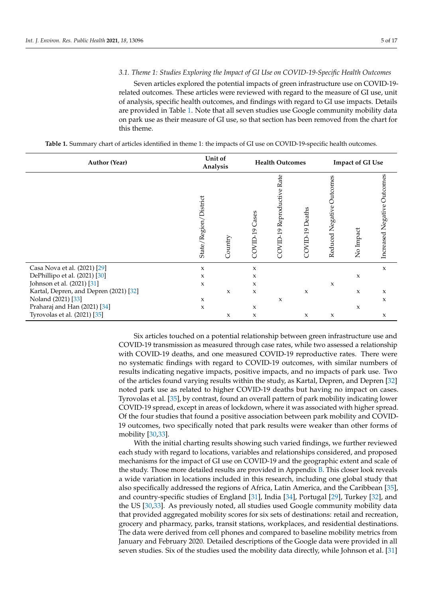#### *3.1. Theme 1: Studies Exploring the Impact of GI Use on COVID-19-Specific Health Outcomes*

Seven articles explored the potential impacts of green infrastructure use on COVID-19 related outcomes. These articles were reviewed with regard to the measure of GI use, unit of analysis, specific health outcomes, and findings with regard to GI use impacts. Details are provided in Table [1.](#page-5-0) Note that all seven studies use Google community mobility data on park use as their measure of GI use, so that section has been removed from the chart for this theme.

**Table 1.** Summary chart of articles identified in theme 1: the impacts of GI use on COVID-19-specific health outcomes.

<span id="page-5-0"></span>

| <b>Author (Year)</b>                   |                          | Unit of<br>Analysis |                | <b>Health Outcomes</b>        |                 | <b>Impact of GI Use</b>      |           |                             |  |
|----------------------------------------|--------------------------|---------------------|----------------|-------------------------------|-----------------|------------------------------|-----------|-----------------------------|--|
|                                        | District<br>State/Region | Country             | COVID-19 Cases | Rate<br>COVID-19 Reproductive | COVID-19 Deaths | Outcomes<br>Reduced Negative | No Impact | Increased Negative Outcomes |  |
| Casa Nova et al. (2021) [29]           | $\mathbf x$              |                     | X              |                               |                 |                              |           | $\boldsymbol{\chi}$         |  |
| DePhillipo et al. (2021) [30]          | $\mathbf x$              |                     | X              |                               |                 |                              | X         |                             |  |
| Johnson et al. (2021) [31]             | $\boldsymbol{\chi}$      |                     | X              |                               |                 | X                            |           |                             |  |
| Kartal, Depren, and Depren (2021) [32] |                          | $\boldsymbol{\chi}$ | $\mathsf X$    |                               | X               |                              | X         | $\mathbf x$                 |  |
| Noland (2021) [33]                     | $\boldsymbol{\chi}$      |                     |                | $\mathbf x$                   |                 |                              |           | $\mathbf x$                 |  |
| Praharaj and Han (2021) [34]           | $\boldsymbol{\chi}$      |                     | X              |                               |                 |                              | X         |                             |  |
| Tyrovolas et al. (2021) [35]           |                          | $\mathsf X$         | $\mathsf X$    |                               | X               | X                            |           | $\mathsf X$                 |  |

Six articles touched on a potential relationship between green infrastructure use and COVID-19 transmission as measured through case rates, while two assessed a relationship with COVID-19 deaths, and one measured COVID-19 reproductive rates. There were no systematic findings with regard to COVID-19 outcomes, with similar numbers of results indicating negative impacts, positive impacts, and no impacts of park use. Two of the articles found varying results within the study, as Kartal, Depren, and Depren [\[32\]](#page-16-2) noted park use as related to higher COVID-19 deaths but having no impact on cases. Tyrovolas et al. [\[35\]](#page-16-5), by contrast, found an overall pattern of park mobility indicating lower COVID-19 spread, except in areas of lockdown, where it was associated with higher spread. Of the four studies that found a positive association between park mobility and COVID-19 outcomes, two specifically noted that park results were weaker than other forms of mobility [\[30](#page-16-0)[,33\]](#page-16-3).

With the initial charting results showing such varied findings, we further reviewed each study with regard to locations, variables and relationships considered, and proposed mechanisms for the impact of GI use on COVID-19 and the geographic extent and scale of the study. Those more detailed results are provided in Appendix [B.](#page-12-0) This closer look reveals a wide variation in locations included in this research, including one global study that also specifically addressed the regions of Africa, Latin America, and the Caribbean [\[35\]](#page-16-5), and country-specific studies of England [\[31\]](#page-16-1), India [\[34\]](#page-16-4), Portugal [\[29\]](#page-15-26), Turkey [\[32\]](#page-16-2), and the US [\[30](#page-16-0)[,33\]](#page-16-3). As previously noted, all studies used Google community mobility data that provided aggregated mobility scores for six sets of destinations: retail and recreation, grocery and pharmacy, parks, transit stations, workplaces, and residential destinations. The data were derived from cell phones and compared to baseline mobility metrics from January and February 2020. Detailed descriptions of the Google data were provided in all seven studies. Six of the studies used the mobility data directly, while Johnson et al. [\[31\]](#page-16-1)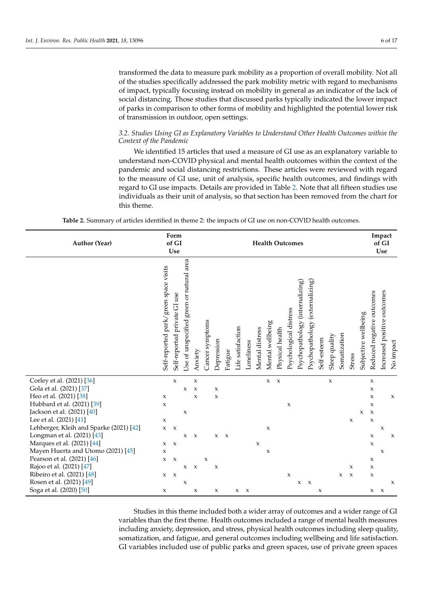transformed the data to measure park mobility as a proportion of overall mobility. Not all of the studies specifically addressed the park mobility metric with regard to mechanisms of impact, typically focusing instead on mobility in general as an indicator of the lack of social distancing. Those studies that discussed parks typically indicated the lower impact of parks in comparison to other forms of mobility and highlighted the potential lower risk of transmission in outdoor, open settings.

#### *3.2. Studies Using GI as Explanatory Variables to Understand Other Health Outcomes within the Context of the Pandemic*

We identified 15 articles that used a measure of GI use as an explanatory variable to understand non-COVID physical and mental health outcomes within the context of the pandemic and social distancing restrictions. These articles were reviewed with regard to the measure of GI use, unit of analysis, specific health outcomes, and findings with regard to GI use impacts. Details are provided in Table [2.](#page-6-0) Note that all fifteen studies use individuals as their unit of analysis, so that section has been removed from the chart for this theme.

|  |  | <b>Table 2.</b> Summary of articles identified in theme 2: the impacts of GI use on non-COVID health outcomes. |
|--|--|----------------------------------------------------------------------------------------------------------------|
|  |  |                                                                                                                |

<span id="page-6-0"></span>

| Author (Year)                           |                                       |                              |                                                    | Form<br>of GI<br>Use |                           |              |              |                   |            | <b>Health Outcomes</b>    |                  |                 |                        |                                 |                                    |             | Impact<br>of GI<br>Use |              |                           |                      |                           |                             |                     |
|-----------------------------------------|---------------------------------------|------------------------------|----------------------------------------------------|----------------------|---------------------------|--------------|--------------|-------------------|------------|---------------------------|------------------|-----------------|------------------------|---------------------------------|------------------------------------|-------------|------------------------|--------------|---------------------------|----------------------|---------------------------|-----------------------------|---------------------|
|                                         | Self-reported park/green space visits | Self-reported private GI use | green or natural area<br><b>Jse of unspecified</b> | Anxiety              | Cancer symptoms           | Depression   | Fatigue      | Life satisfaction | Loneliness | Mental distress           | Mental wellbeing | Physical health | Psychological distress | Psychopathology (internalizing) | (externalizing)<br>Psychopathology | Self-esteem | Sleep quality          | Somatization | <b>Stress</b>             | Subjective wellbeing | Reduced negative outcomes | Increased positive outcomes | No impact           |
| Corley et al. (2021) [36]               |                                       | $\mathbf x$                  |                                                    | $\mathsf X$          |                           |              |              |                   |            |                           | $\mathbf{x}$     | $\mathbf x$     |                        |                                 |                                    |             | $\mathbf x$            |              |                           |                      | $\mathbf x$               |                             |                     |
| Gola et al. (2021) [37]                 |                                       |                              | $\mathsf X$                                        | $\boldsymbol{\chi}$  |                           | $\mathbf x$  |              |                   |            |                           |                  |                 |                        |                                 |                                    |             |                        |              |                           |                      | $\mathbf x$               |                             |                     |
| Heo et al. (2021) [38]                  | X                                     |                              |                                                    | $\mathsf X$          |                           | $\mathbf x$  |              |                   |            |                           |                  |                 |                        |                                 |                                    |             |                        |              |                           |                      | $\mathbf x$               |                             | $\mathsf X$         |
| Hubbard et al. (2021) [39]              | $\mathbf x$                           |                              |                                                    |                      |                           |              |              |                   |            |                           |                  |                 | $\mathsf X$            |                                 |                                    |             |                        |              |                           |                      | $\mathbf x$               |                             |                     |
| Jackson et al. (2021) [40]              |                                       |                              | $\mathbf x$                                        |                      |                           |              |              |                   |            |                           |                  |                 |                        |                                 |                                    |             |                        |              |                           | X                    | $\boldsymbol{\chi}$       |                             |                     |
| Lee et al. (2021) [41]                  | $\mathbf x$                           |                              |                                                    |                      |                           |              |              |                   |            |                           |                  |                 |                        |                                 |                                    |             |                        |              | $\mathsf X$               |                      | $\mathbf x$               |                             |                     |
| Lehberger, Kleih and Sparke (2021) [42] | $\mathbf x$                           | $\boldsymbol{\mathsf{x}}$    |                                                    |                      |                           |              |              |                   |            |                           | X                |                 |                        |                                 |                                    |             |                        |              |                           |                      |                           | X                           |                     |
| Longman et al. (2021) [43]              |                                       |                              | X                                                  | $\mathbf x$          |                           | $\mathbf{x}$ | $\mathbf{x}$ |                   |            |                           |                  |                 |                        |                                 |                                    |             |                        |              |                           |                      | X                         |                             | $\boldsymbol{\chi}$ |
| Marques et al. (2021) [44]              | $\mathbf{x}$                          | $\mathbf{x}$                 |                                                    |                      |                           |              |              |                   |            | $\boldsymbol{\mathsf{X}}$ |                  |                 |                        |                                 |                                    |             |                        |              |                           |                      | $\mathsf X$               |                             |                     |
| Mayen Huerta and Utomo (2021) [45]      | X                                     |                              |                                                    |                      |                           |              |              |                   |            |                           | X                |                 |                        |                                 |                                    |             |                        |              |                           |                      |                           | X                           |                     |
| Pearson et al. (2021) [46]              | $\mathbf x$                           | $\boldsymbol{\chi}$          |                                                    |                      | $\boldsymbol{\mathsf{x}}$ |              |              |                   |            |                           |                  |                 |                        |                                 |                                    |             |                        |              |                           |                      | $\mathsf X$               |                             |                     |
| Rajoo et al. (2021) [47]                |                                       |                              | $\mathbf{x}$                                       | $\boldsymbol{\chi}$  |                           | $\mathsf X$  |              |                   |            |                           |                  |                 |                        |                                 |                                    |             |                        |              | $\mathbf{x}$              |                      | $\mathbf x$               |                             |                     |
| Ribeiro et al. (2021) [48]              | X                                     | $\boldsymbol{\chi}$          |                                                    |                      |                           |              |              |                   |            |                           |                  |                 | $\mathsf X$            |                                 |                                    |             |                        | X            | $\boldsymbol{\mathsf{X}}$ |                      | $\mathsf X$               |                             |                     |
| Rosen et al. (2021) [49]                |                                       |                              | $\mathsf X$                                        |                      |                           |              |              |                   |            |                           |                  |                 |                        | $\mathbf x$                     | $\boldsymbol{\chi}$                |             |                        |              |                           |                      |                           |                             | $\boldsymbol{\chi}$ |
| Soga et al. (2020) [50]                 | $\mathsf X$                           |                              |                                                    | $\mathsf X$          |                           | $\mathbf x$  |              | $X$ $X$           |            |                           |                  |                 |                        |                                 |                                    | $\mathsf X$ |                        |              |                           |                      | $X$ $X$                   |                             |                     |

Studies in this theme included both a wider array of outcomes and a wider range of GI variables than the first theme. Health outcomes included a range of mental health measures including anxiety, depression, and stress, physical health outcomes including sleep quality, somatization, and fatigue, and general outcomes including wellbeing and life satisfaction. GI variables included use of public parks and green spaces, use of private green spaces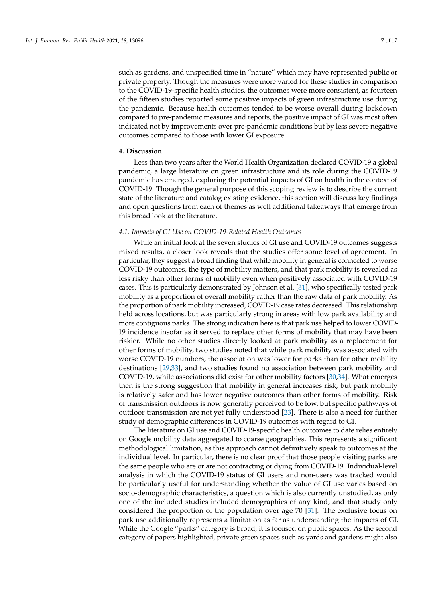such as gardens, and unspecified time in "nature" which may have represented public or private property. Though the measures were more varied for these studies in comparison to the COVID-19-specific health studies, the outcomes were more consistent, as fourteen of the fifteen studies reported some positive impacts of green infrastructure use during the pandemic. Because health outcomes tended to be worse overall during lockdown compared to pre-pandemic measures and reports, the positive impact of GI was most often indicated not by improvements over pre-pandemic conditions but by less severe negative outcomes compared to those with lower GI exposure.

#### **4. Discussion**

Less than two years after the World Health Organization declared COVID-19 a global pandemic, a large literature on green infrastructure and its role during the COVID-19 pandemic has emerged, exploring the potential impacts of GI on health in the context of COVID-19. Though the general purpose of this scoping review is to describe the current state of the literature and catalog existing evidence, this section will discuss key findings and open questions from each of themes as well additional takeaways that emerge from this broad look at the literature.

#### *4.1. Impacts of GI Use on COVID-19-Related Health Outcomes*

While an initial look at the seven studies of GI use and COVID-19 outcomes suggests mixed results, a closer look reveals that the studies offer some level of agreement. In particular, they suggest a broad finding that while mobility in general is connected to worse COVID-19 outcomes, the type of mobility matters, and that park mobility is revealed as less risky than other forms of mobility even when positively associated with COVID-19 cases. This is particularly demonstrated by Johnson et al. [\[31\]](#page-16-1), who specifically tested park mobility as a proportion of overall mobility rather than the raw data of park mobility. As the proportion of park mobility increased, COVID-19 case rates decreased. This relationship held across locations, but was particularly strong in areas with low park availability and more contiguous parks. The strong indication here is that park use helped to lower COVID-19 incidence insofar as it served to replace other forms of mobility that may have been riskier. While no other studies directly looked at park mobility as a replacement for other forms of mobility, two studies noted that while park mobility was associated with worse COVID-19 numbers, the association was lower for parks than for other mobility destinations [\[29,](#page-15-26)[33\]](#page-16-3), and two studies found no association between park mobility and COVID-19, while associations did exist for other mobility factors [\[30,](#page-16-0)[34\]](#page-16-4). What emerges then is the strong suggestion that mobility in general increases risk, but park mobility is relatively safer and has lower negative outcomes than other forms of mobility. Risk of transmission outdoors is now generally perceived to be low, but specific pathways of outdoor transmission are not yet fully understood [\[23\]](#page-15-20). There is also a need for further study of demographic differences in COVID-19 outcomes with regard to GI.

The literature on GI use and COVID-19-specific health outcomes to date relies entirely on Google mobility data aggregated to coarse geographies. This represents a significant methodological limitation, as this approach cannot definitively speak to outcomes at the individual level. In particular, there is no clear proof that those people visiting parks are the same people who are or are not contracting or dying from COVID-19. Individual-level analysis in which the COVID-19 status of GI users and non-users was tracked would be particularly useful for understanding whether the value of GI use varies based on socio-demographic characteristics, a question which is also currently unstudied, as only one of the included studies included demographics of any kind, and that study only considered the proportion of the population over age 70 [\[31\]](#page-16-1). The exclusive focus on park use additionally represents a limitation as far as understanding the impacts of GI. While the Google "parks" category is broad, it is focused on public spaces. As the second category of papers highlighted, private green spaces such as yards and gardens might also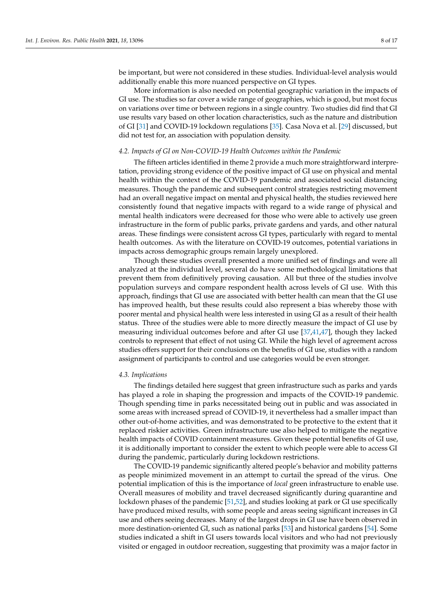be important, but were not considered in these studies. Individual-level analysis would additionally enable this more nuanced perspective on GI types.

More information is also needed on potential geographic variation in the impacts of GI use. The studies so far cover a wide range of geographies, which is good, but most focus on variations over time or between regions in a single country. Two studies did find that GI use results vary based on other location characteristics, such as the nature and distribution of GI [\[31\]](#page-16-1) and COVID-19 lockdown regulations [\[35\]](#page-16-5). Casa Nova et al. [\[29\]](#page-15-26) discussed, but did not test for, an association with population density.

#### *4.2. Impacts of GI on Non-COVID-19 Health Outcomes within the Pandemic*

The fifteen articles identified in theme 2 provide a much more straightforward interpretation, providing strong evidence of the positive impact of GI use on physical and mental health within the context of the COVID-19 pandemic and associated social distancing measures. Though the pandemic and subsequent control strategies restricting movement had an overall negative impact on mental and physical health, the studies reviewed here consistently found that negative impacts with regard to a wide range of physical and mental health indicators were decreased for those who were able to actively use green infrastructure in the form of public parks, private gardens and yards, and other natural areas. These findings were consistent across GI types, particularly with regard to mental health outcomes. As with the literature on COVID-19 outcomes, potential variations in impacts across demographic groups remain largely unexplored.

Though these studies overall presented a more unified set of findings and were all analyzed at the individual level, several do have some methodological limitations that prevent them from definitively proving causation. All but three of the studies involve population surveys and compare respondent health across levels of GI use. With this approach, findings that GI use are associated with better health can mean that the GI use has improved health, but these results could also represent a bias whereby those with poorer mental and physical health were less interested in using GI as a result of their health status. Three of the studies were able to more directly measure the impact of GI use by measuring individual outcomes before and after GI use [\[37,](#page-16-7)[41,](#page-16-11)[47\]](#page-16-17), though they lacked controls to represent that effect of not using GI. While the high level of agreement across studies offers support for their conclusions on the benefits of GI use, studies with a random assignment of participants to control and use categories would be even stronger.

#### *4.3. Implications*

The findings detailed here suggest that green infrastructure such as parks and yards has played a role in shaping the progression and impacts of the COVID-19 pandemic. Though spending time in parks necessitated being out in public and was associated in some areas with increased spread of COVID-19, it nevertheless had a smaller impact than other out-of-home activities, and was demonstrated to be protective to the extent that it replaced riskier activities. Green infrastructure use also helped to mitigate the negative health impacts of COVID containment measures. Given these potential benefits of GI use, it is additionally important to consider the extent to which people were able to access GI during the pandemic, particularly during lockdown restrictions.

The COVID-19 pandemic significantly altered people's behavior and mobility patterns as people minimized movement in an attempt to curtail the spread of the virus. One potential implication of this is the importance of *local* green infrastructure to enable use. Overall measures of mobility and travel decreased significantly during quarantine and lockdown phases of the pandemic [\[51,](#page-16-21)[52\]](#page-16-22), and studies looking at park or GI use specifically have produced mixed results, with some people and areas seeing significant increases in GI use and others seeing decreases. Many of the largest drops in GI use have been observed in more destination-oriented GI, such as national parks [\[53\]](#page-16-23) and historical gardens [\[54\]](#page-16-24). Some studies indicated a shift in GI users towards local visitors and who had not previously visited or engaged in outdoor recreation, suggesting that proximity was a major factor in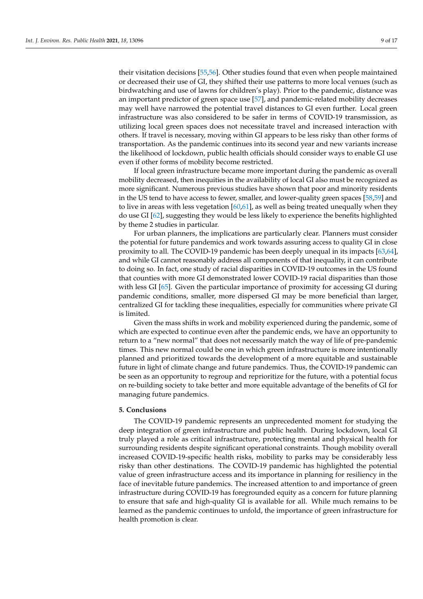their visitation decisions [\[55,](#page-16-25)[56\]](#page-17-0). Other studies found that even when people maintained or decreased their use of GI, they shifted their use patterns to more local venues (such as birdwatching and use of lawns for children's play). Prior to the pandemic, distance was an important predictor of green space use [\[57\]](#page-17-1), and pandemic-related mobility decreases may well have narrowed the potential travel distances to GI even further. Local green infrastructure was also considered to be safer in terms of COVID-19 transmission, as utilizing local green spaces does not necessitate travel and increased interaction with others. If travel is necessary, moving within GI appears to be less risky than other forms of transportation. As the pandemic continues into its second year and new variants increase the likelihood of lockdown, public health officials should consider ways to enable GI use even if other forms of mobility become restricted.

If local green infrastructure became more important during the pandemic as overall mobility decreased, then inequities in the availability of local GI also must be recognized as more significant. Numerous previous studies have shown that poor and minority residents in the US tend to have access to fewer, smaller, and lower-quality green spaces [\[58](#page-17-2)[,59\]](#page-17-3) and to live in areas with less vegetation  $[60,61]$  $[60,61]$ , as well as being treated unequally when they do use GI [\[62\]](#page-17-6), suggesting they would be less likely to experience the benefits highlighted by theme 2 studies in particular.

For urban planners, the implications are particularly clear. Planners must consider the potential for future pandemics and work towards assuring access to quality GI in close proximity to all. The COVID-19 pandemic has been deeply unequal in its impacts [\[63,](#page-17-7)[64\]](#page-17-8), and while GI cannot reasonably address all components of that inequality, it can contribute to doing so. In fact, one study of racial disparities in COVID-19 outcomes in the US found that counties with more GI demonstrated lower COVID-19 racial disparities than those with less GI [\[65\]](#page-17-9). Given the particular importance of proximity for accessing GI during pandemic conditions, smaller, more dispersed GI may be more beneficial than larger, centralized GI for tackling these inequalities, especially for communities where private GI is limited.

Given the mass shifts in work and mobility experienced during the pandemic, some of which are expected to continue even after the pandemic ends, we have an opportunity to return to a "new normal" that does not necessarily match the way of life of pre-pandemic times. This new normal could be one in which green infrastructure is more intentionally planned and prioritized towards the development of a more equitable and sustainable future in light of climate change and future pandemics. Thus, the COVID-19 pandemic can be seen as an opportunity to regroup and reprioritize for the future, with a potential focus on re-building society to take better and more equitable advantage of the benefits of GI for managing future pandemics.

#### **5. Conclusions**

The COVID-19 pandemic represents an unprecedented moment for studying the deep integration of green infrastructure and public health. During lockdown, local GI truly played a role as critical infrastructure, protecting mental and physical health for surrounding residents despite significant operational constraints. Though mobility overall increased COVID-19-specific health risks, mobility to parks may be considerably less risky than other destinations. The COVID-19 pandemic has highlighted the potential value of green infrastructure access and its importance in planning for resiliency in the face of inevitable future pandemics. The increased attention to and importance of green infrastructure during COVID-19 has foregrounded equity as a concern for future planning to ensure that safe and high-quality GI is available for all. While much remains to be learned as the pandemic continues to unfold, the importance of green infrastructure for health promotion is clear.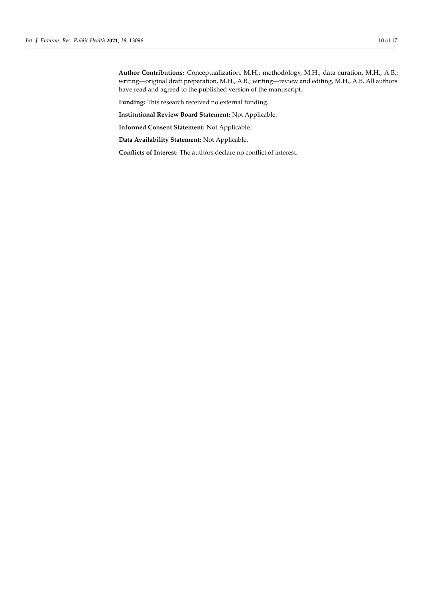**Author Contributions:** Conceptualization, M.H.; methodology, M.H.; data curation, M.H., A.B.; writing—original draft preparation, M.H., A.B.; writing—review and editing, M.H., A.B. All authors have read and agreed to the published version of the manuscript.

**Funding:** This research received no external funding.

**Institutional Review Board Statement:** Not Applicable.

**Informed Consent Statement:** Not Applicable.

**Data Availability Statement:** Not Applicable.

**Conflicts of Interest:** The authors declare no conflict of interest.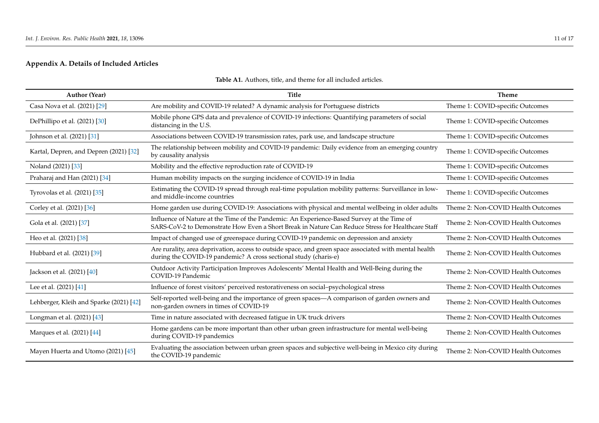# **Appendix A. Details of Included Articles**

<span id="page-11-0"></span>

| <b>Author (Year)</b>                    | <b>Title</b>                                                                                                                                                                                    | <b>Theme</b>                       |
|-----------------------------------------|-------------------------------------------------------------------------------------------------------------------------------------------------------------------------------------------------|------------------------------------|
| Casa Nova et al. (2021) [29]            | Are mobility and COVID-19 related? A dynamic analysis for Portuguese districts                                                                                                                  | Theme 1: COVID-specific Outcomes   |
| DePhillipo et al. (2021) [30]           | Mobile phone GPS data and prevalence of COVID-19 infections: Quantifying parameters of social<br>distancing in the U.S.                                                                         | Theme 1: COVID-specific Outcomes   |
| Johnson et al. (2021) [31]              | Associations between COVID-19 transmission rates, park use, and landscape structure                                                                                                             | Theme 1: COVID-specific Outcomes   |
| Kartal, Depren, and Depren (2021) [32]  | The relationship between mobility and COVID-19 pandemic: Daily evidence from an emerging country<br>by causality analysis                                                                       | Theme 1: COVID-specific Outcomes   |
| Noland (2021) [33]                      | Mobility and the effective reproduction rate of COVID-19                                                                                                                                        | Theme 1: COVID-specific Outcomes   |
| Praharaj and Han (2021) [34]            | Human mobility impacts on the surging incidence of COVID-19 in India                                                                                                                            | Theme 1: COVID-specific Outcomes   |
| Tyrovolas et al. (2021) [35]            | Estimating the COVID-19 spread through real-time population mobility patterns: Surveillance in low-<br>and middle-income countries                                                              | Theme 1: COVID-specific Outcomes   |
| Corley et al. (2021) [36]               | Home garden use during COVID-19: Associations with physical and mental wellbeing in older adults                                                                                                | Theme 2: Non-COVID Health Outcomes |
| Gola et al. (2021) [37]                 | Influence of Nature at the Time of the Pandemic: An Experience-Based Survey at the Time of<br>SARS-CoV-2 to Demonstrate How Even a Short Break in Nature Can Reduce Stress for Healthcare Staff | Theme 2: Non-COVID Health Outcomes |
| Heo et al. (2021) [38]                  | Impact of changed use of greenspace during COVID-19 pandemic on depression and anxiety                                                                                                          | Theme 2: Non-COVID Health Outcomes |
| Hubbard et al. (2021) [39]              | Are rurality, area deprivation, access to outside space, and green space associated with mental health<br>during the COVID-19 pandemic? A cross sectional study (charis-e)                      | Theme 2: Non-COVID Health Outcomes |
| Jackson et al. (2021) [40]              | Outdoor Activity Participation Improves Adolescents' Mental Health and Well-Being during the<br>COVID-19 Pandemic                                                                               | Theme 2: Non-COVID Health Outcomes |
| Lee et al. (2021) [41]                  | Influence of forest visitors' perceived restorativeness on social-psychological stress                                                                                                          | Theme 2: Non-COVID Health Outcomes |
| Lehberger, Kleih and Sparke (2021) [42] | Self-reported well-being and the importance of green spaces—A comparison of garden owners and<br>non-garden owners in times of COVID-19                                                         | Theme 2: Non-COVID Health Outcomes |
| Longman et al. (2021) [43]              | Time in nature associated with decreased fatigue in UK truck drivers                                                                                                                            | Theme 2: Non-COVID Health Outcomes |
| Marques et al. (2021) [44]              | Home gardens can be more important than other urban green infrastructure for mental well-being<br>during COVID-19 pandemics                                                                     | Theme 2: Non-COVID Health Outcomes |
| Mayen Huerta and Utomo (2021) [45]      | Evaluating the association between urban green spaces and subjective well-being in Mexico city during<br>the COVID-19 pandemic                                                                  | Theme 2: Non-COVID Health Outcomes |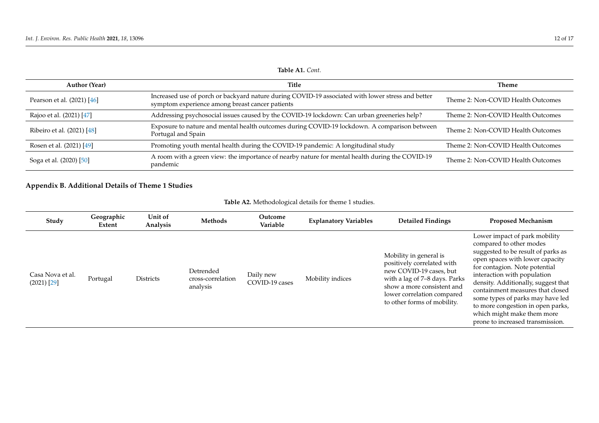| <b>Author (Year)</b>       | Title                                                                                                                                                | <b>Theme</b>                       |
|----------------------------|------------------------------------------------------------------------------------------------------------------------------------------------------|------------------------------------|
| Pearson et al. (2021) [46] | Increased use of porch or backyard nature during COVID-19 associated with lower stress and better<br>symptom experience among breast cancer patients | Theme 2: Non-COVID Health Outcomes |
| Rajoo et al. (2021) [47]   | Addressing psychosocial issues caused by the COVID-19 lockdown: Can urban greeneries help?                                                           | Theme 2: Non-COVID Health Outcomes |
| Ribeiro et al. (2021) [48] | Exposure to nature and mental health outcomes during COVID-19 lockdown. A comparison between<br>Portugal and Spain                                   | Theme 2: Non-COVID Health Outcomes |
| Rosen et al. (2021) [49]   | Promoting youth mental health during the COVID-19 pandemic: A longitudinal study                                                                     | Theme 2: Non-COVID Health Outcomes |
| Soga et al. (2020) [50]    | A room with a green view: the importance of nearby nature for mental health during the COVID-19<br>pandemic                                          | Theme 2: Non-COVID Health Outcomes |

## **Appendix B. Additional Details of Theme 1 Studies**

<span id="page-12-0"></span>

| Study                             | Geographic<br>Extent | Unit of<br>Analysis | Methods                                    | Outcome<br>Variable         | <b>Explanatory Variables</b> | <b>Detailed Findings</b>                                                                                                                                                                                    | <b>Proposed Mechanism</b>                                                                                                                                                                                                                                                                                                                                                                                               |
|-----------------------------------|----------------------|---------------------|--------------------------------------------|-----------------------------|------------------------------|-------------------------------------------------------------------------------------------------------------------------------------------------------------------------------------------------------------|-------------------------------------------------------------------------------------------------------------------------------------------------------------------------------------------------------------------------------------------------------------------------------------------------------------------------------------------------------------------------------------------------------------------------|
| Casa Nova et al.<br>$(2021)$ [29] | Portugal             | <b>Districts</b>    | Detrended<br>cross-correlation<br>analysis | Daily new<br>COVID-19 cases | Mobility indices             | Mobility in general is<br>positively correlated with<br>new COVID-19 cases, but<br>with a lag of 7-8 days. Parks<br>show a more consistent and<br>lower correlation compared<br>to other forms of mobility. | Lower impact of park mobility<br>compared to other modes<br>suggested to be result of parks as<br>open spaces with lower capacity<br>for contagion. Note potential<br>interaction with population<br>density. Additionally, suggest that<br>containment measures that closed<br>some types of parks may have led<br>to more congestion in open parks,<br>which might make them more<br>prone to increased transmission. |

### **Table A1.** *Cont.*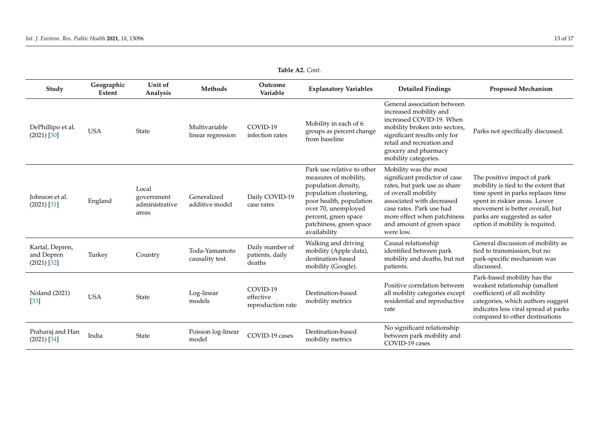| Study                                          | Geographic<br><b>Extent</b> | Unit of<br>Analysis                            | Methods                            | Outcome<br>Variable                          | <b>Explanatory Variables</b>                                                                                                                                                                                              | <b>Detailed Findings</b>                                                                                                                                                                                                                        | <b>Proposed Mechanism</b>                                                                                                                                                                                                                      |
|------------------------------------------------|-----------------------------|------------------------------------------------|------------------------------------|----------------------------------------------|---------------------------------------------------------------------------------------------------------------------------------------------------------------------------------------------------------------------------|-------------------------------------------------------------------------------------------------------------------------------------------------------------------------------------------------------------------------------------------------|------------------------------------------------------------------------------------------------------------------------------------------------------------------------------------------------------------------------------------------------|
| DePhillipo et al.<br>$(2021)$ [30]             | <b>USA</b>                  | State                                          | Multivariable<br>linear regression | COVID-19<br>infection rates                  | Mobility in each of 6<br>groups as percent change<br>from baseline                                                                                                                                                        | General association between<br>increased mobility and<br>increased COVID-19. When<br>mobility broken into sectors,<br>significant results only for<br>retail and recreation and<br>grocery and pharmacy<br>mobility categories.                 | Parks not specifically discussed.                                                                                                                                                                                                              |
| Johnson et al.<br>$(2021)$ [31]                | England                     | Local<br>government<br>administrative<br>areas | Generalized<br>additive model      | Daily COVID-19<br>case rates                 | Park use relative to other<br>measures of mobility,<br>population density,<br>population clustering,<br>poor health, population<br>over 70, unemployed<br>percent, green space<br>patchiness, green space<br>availability | Mobility was the most<br>significant predictor of case<br>rates, but park use as share<br>of overall mobility<br>associated with decreased<br>case rates. Park use had<br>more effect when patchiness<br>and amount of green space<br>were low. | The positive impact of park<br>mobility is tied to the extent that<br>time spent in parks replaces time<br>spent in riskier areas. Lower<br>movement is better overall, but<br>parks are suggested as safer<br>option if mobility is required. |
| Kartal, Depren,<br>and Depren<br>$(2021)$ [32] | Turkey                      | Country                                        | Toda-Yamamoto<br>causality test    | Daily number of<br>patients, daily<br>deaths | Walking and driving<br>mobility (Apple data),<br>destination-based<br>mobility (Google).                                                                                                                                  | Causal relationship<br>identified between park<br>mobility and deaths, but not<br>patients.                                                                                                                                                     | General discussion of mobility as<br>tied to transmission, but no<br>park-specific mechanism was<br>discussed.                                                                                                                                 |
| Noland (2021)<br>[33]                          | <b>USA</b>                  | <b>State</b>                                   | Log-linear<br>models               | COVID-19<br>effective<br>reproduction rate   | Destination-based<br>mobility metrics                                                                                                                                                                                     | Positive correlation between<br>all mobility categories except<br>residential and reproductive<br>rate                                                                                                                                          | Park-based mobility has the<br>weakest relationship (smallest<br>coefficient) of all mobility<br>categories, which authors suggest<br>indicates less viral spread at parks<br>compared to other destinations                                   |
| Praharaj and Han<br>$(2021)$ [34]              | India                       | State                                          | Poisson log-linear<br>model        | COVID-19 cases                               | Destination-based<br>mobility metrics                                                                                                                                                                                     | No significant relationship<br>between park mobility and<br>COVID-19 cases                                                                                                                                                                      |                                                                                                                                                                                                                                                |

**Table A2.** *Cont.*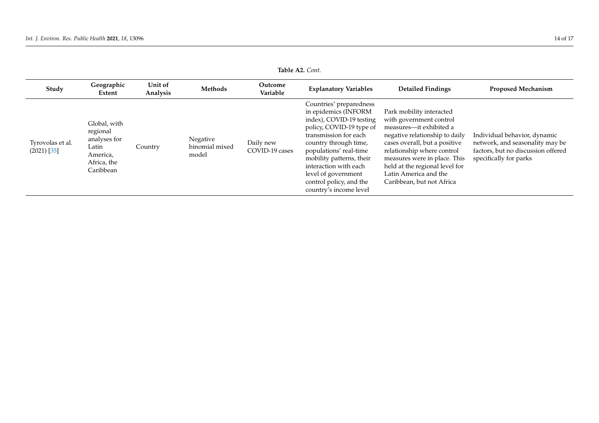### **Table A2.** *Cont.*

| Study                             | Geographic<br>Extent                                                                      | Unit of<br>Analysis | Methods                             | Outcome<br>Variable         | <b>Explanatory Variables</b>                                                                                                                                                                                                                                                                                         | <b>Detailed Findings</b>                                                                                                                                                                                                                                                                                | <b>Proposed Mechanism</b>                                                                                                       |
|-----------------------------------|-------------------------------------------------------------------------------------------|---------------------|-------------------------------------|-----------------------------|----------------------------------------------------------------------------------------------------------------------------------------------------------------------------------------------------------------------------------------------------------------------------------------------------------------------|---------------------------------------------------------------------------------------------------------------------------------------------------------------------------------------------------------------------------------------------------------------------------------------------------------|---------------------------------------------------------------------------------------------------------------------------------|
| Tyrovolas et al.<br>$(2021)$ [35] | Global, with<br>regional<br>analyses for<br>Latin<br>America,<br>Africa, the<br>Caribbean | Country             | Negative<br>binomial mixed<br>model | Daily new<br>COVID-19 cases | Countries' preparedness<br>in epidemics (INFORM<br>index), COVID-19 testing<br>policy, COVID-19 type of<br>transmission for each<br>country through time,<br>populations' real-time<br>mobility patterns, their<br>interaction with each<br>level of government<br>control policy, and the<br>country's income level | Park mobility interacted<br>with government control<br>measures-it exhibited a<br>negative relationship to daily<br>cases overall, but a positive<br>relationship where control<br>measures were in place. This<br>held at the regional level for<br>Latin America and the<br>Caribbean, but not Africa | Individual behavior, dynamic<br>network, and seasonality may be<br>factors, but no discussion offered<br>specifically for parks |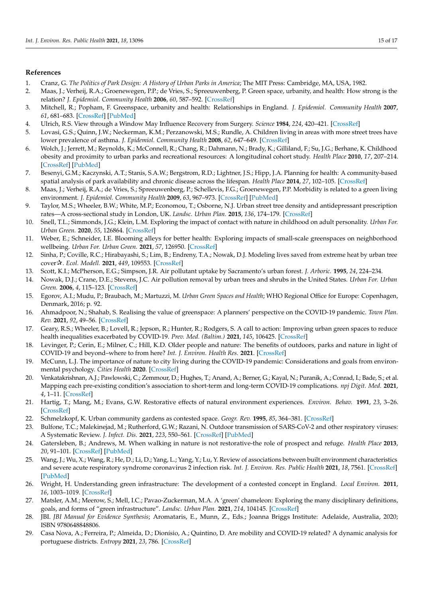#### **References** 1. Cranz, G. *The Politics of Park Design: A History of Urban Parks in America*; The MIT Press: Cambridge, MA, USA, 1982. 2. Maas, J.; Groenewegen, P.P.; de Vries, S.; Spreeuwenberg, P. Groenewegen, P. Groenewegen, P. Groenewegen, S.; Spreeuwenberg, P. Groen space, urbanity, and health: How strong is the strong is the strong is the strong is

- <span id="page-15-1"></span><span id="page-15-0"></span>1. Cranz, G. The Politics of Park Design: A History of Urban Parks in America; The MIT Press: Cambridge, MA, USA, 1982.
- 2. Maas, J.; Verheij, R.A.; Groenewegen, P.P.; de Vries, S.; Spreeuwenberg, P. Green space, urbanity, and health: How strong is the relation? J. Epidemiol. Community Health 2006, 60, 587-592. [\[CrossRef\]](http://doi.org/10.1136/jech.2005.043125)
- <span id="page-15-2"></span>3. Mitchell, R.; Popham, F. Greenspace, urbanity and health: Relationships in England. J. Epidemiol. Community Health 2007,  $61,681-683$ . [\[CrossRef\]](http://doi.org/10.1136/jech.2006.053553) [\[PubMed\]](http://www.ncbi.nlm.nih.gov/pubmed/17630365)
	- 4. Ulrich, R.S. View through a Window May Influence Recovery from Surgery. Science 1984, 224, 420-421. [\[CrossRef\]](http://doi.org/10.1126/science.6143402)
- <span id="page-15-4"></span><span id="page-15-3"></span>5. Lovasi, G.S.; Quinn, J.W.; Neckerman, K.M.; Perzanowski, M.S.; Rundle, A. Children living in areas with more street trees have lower prevalence of asthma. J. Epidemiol. Community Health 2008, 62, 647–649. [\[CrossRef\]](http://doi.org/10.1136/jech.2007.071894)
- <span id="page-15-5"></span>6. Wolch, J.; Jerrett, M.; Reynolds, K.; McConnell, R.; Chang, R.; Dahmann, N.; Brady, K.; Gilliland, F.; Su, J.G.; Berhane, K. Childhood obesity and proximity to urban parks and recreational resources: A longitudinal cohort study. Health Place 2010, 17, 207-214. [\[CrossRef\]](http://doi.org/10.1016/j.healthplace.2010.10.001) [\[PubMed\]](http://www.ncbi.nlm.nih.gov/pubmed/21075670) based spatial analysis of park availability and chronic disease across the lifespan. *Health Place* 2014, *27*, 102–105.
- <span id="page-15-6"></span>7. Besenyi, G.M.; Kaczynski, A.T.; Stanis, S.A.W.; Bergstrom, R.D.; Lightner, J.S.; Hipp, J.A. Planning for health: A community-based spatial analysis of park availability and chronic disease across the lifespan. Health Place 2014, 27, 102-105. [\[CrossRef\]](http://doi.org/10.1016/j.healthplace.2014.02.005)
- <span id="page-15-8"></span><span id="page-15-7"></span>8. Maas, J.; Verheij, R.A.; de Vries, S.; Spreeuwenberg, P.; Schellevis, F.G.; Groenewegen, P.P. Morbidity is related to a green living environment. J. Epidemiol. Community Health 2009, 63, 967–973. [\[CrossRef\]](http://doi.org/10.1136/jech.2008.079038) [\[PubMed\]](http://www.ncbi.nlm.nih.gov/pubmed/19833605)
	- 9. Taylor, M.S.; Wheeler, B.W.; White, M.P.; Economou, T.; Osborne, N.J. Urban street tree density and antidepressant prescription rates—A cross-sectional study in London, UK. *Landsc. Urban Plan.* 2015, 136, 174–179. [\[CrossRef\]](http://doi.org/10.1016/j.landurbplan.2014.12.005)
- <span id="page-15-9"></span>10. Snell, T.L.; Simmonds, J.G.; Klein, L.M. Exploring the impact of contact with nature in childhood on adult personality. Urban For. *Urban Green.* **2020**, 55, 126864. [\[CrossRef\]](http://doi.org/10.1016/j.ufug.2020.126864)
- <span id="page-15-10"></span>11. Weber, E.; Schneider, I.E. Blooming alleys for better health: Exploring impacts of small-scale greenspaces on neighborhood wellbeing. *Urban For. Urban Green.* **2021**, 57, 126950. [CrossRef]
- <span id="page-15-11"></span>12. Sinha, P.; Coville, R.C.; Hirabayashi, S.; Lim, B.; Endreny, T.A.; Nowak, D.J. Modeling lives saved from extreme heat by urban tree  $cover \, x. \, Ecol. \, Model. \, 2021, \, 449, \, 109553. \, [CrossRef]$  $cover \, x. \, Ecol. \, Model. \, 2021, \, 449, \, 109553. \, [CrossRef]$
- <span id="page-15-12"></span>13. Scott, K.I.; McPherson, E.G.; Simpson, J.R. Air pollutant uptake by Sacramento's urban forest. J. Arboric. 1995, 24, 224–234.
- <span id="page-15-13"></span>14. Nowak, D.J.; Crane, D.E.; Stevens, J.C. Air pollution removal by urban trees and shrubs in the United States. Urban For. Urban *Green.* **2006**, *4*, 115–123. [CrossRef]
- <span id="page-15-14"></span>15. Egorov, A.I.; Mudu, P.; Braubach, M.; Martuzzi, M. Urban Green Spaces and Health; WHO Regional Office for Europe: Copenhagen, Denmark*,* 2016; p. 92.
- <span id="page-15-15"></span>16. Ahmadpoor, N.; Shahab, S. Realising the value of greenspace: A planners' perspective on the COVID-19 pandemic. Town Plan. *Rev.* **2021**, *92*, 49–56. *Rev.* **2021**, *92*, 49–56. [\[CrossRef\]](http://doi.org/10.3828/tpr.2020.37)
- 17. Geary, R.S.; Wheeler, B.; Lovell, R.; Jepson, R.; Hunter, R.; Rodgers, S. A call to action: Improving urban green spaces to reduce health inequalities exacerbated by COVID-19. *Prev. Med. (Baltim.)* **2021**, *145*, 106425. health inequalities exacerbated by COVID-19. *Prev. Med. (Baltim.)* **2021**, *145*, 106425. [\[CrossRef\]](http://doi.org/10.1016/j.ypmed.2021.106425)
- 18. Levinger, P.; Cerin, E.; Milner, C.; Hill, K.D. Older people and nature: The benefits of outdoors, parks and nature in light of COVID-19 and beyond-where to from here? *Int. J. Environ. Health Res.* 2021. [\[CrossRef\]](http://doi.org/10.1080/09603123.2021.1879739)
- <span id="page-15-27"></span><span id="page-15-16"></span>19. McCunn, L.J. The importance of nature to city living during the COVID-19 pandemic: Considerations and goals from environmental psychology. *Cities Health* **2020**. [\[CrossRef\]](http://doi.org/10.1080/23748834.2020.1795385)
- <span id="page-15-17"></span>20. Venkatakrishnan, A.J.; Pawlowski, C.; Zemmour, D.; Hughes, T.; Anand, A.; Berner, G.; Kayal, N.; Puranik, A.; Conrad, I.; Bade, S.; et al. Mapping each pre-existing condition's association to short-term and long-term COVID-19 complications. npj Digit. Med. 2021, S.; et al. Mapping each pre-existing condition's association to short-term and long-term COVID-19 complications. *npj Digit. Med. 4*, 1–11. [\[CrossRef\]](http://doi.org/10.1038/s41746-021-00484-7)
- <span id="page-15-18"></span>21. Hartig, T.; Mang, M.; Evans, G.W. Restorative effects of natural environment experiences. *Environ. Behav.* **1991**, 23, 3–26. 21. Hartig, T.; Mang, M.; Evans, G.W. Restorative effects of natural environment experiences. *Environ. Behav.* **1991**, *23*, 3–26. [\[CrossRef\]](http://doi.org/10.1177/0013916591231001)
	- 22. Schmelzkopf, K. Urban community gardens as contested space. *Geogr. Rev.* **1995**, 85, 364–381. [\[CrossRef\]](http://doi.org/10.2307/215279)
- <span id="page-15-20"></span><span id="page-15-19"></span>23. Bulfone, T.C.; Malekinejad, M.; Rutherford, G.W.; Razani, N. Outdoor transmission of SARS-CoV-2 and other respiratory viruses: A Systematic Review. *J. Infect. Dis.* **2021**, 223, 550–561. [\[CrossRef\]](http://doi.org/10.1093/infdis/jiaa742) [\[PubMed\]](http://www.ncbi.nlm.nih.gov/pubmed/33249484)
- <span id="page-15-21"></span>24. Gatersleben, B.; Andrews, M. When walking in nature is not restorative-the role of prospect and refuge. Health Place 2013, 24. Gatersleben, B.; Andrews, M. When walking in nature is not restorative-the role of prospect and refuge. *Health Place* **2013**, *20*, *20*, 91–101. [\[CrossRef\]](http://doi.org/10.1016/j.healthplace.2013.01.001) [\[PubMed\]](http://www.ncbi.nlm.nih.gov/pubmed/23399852)
- <span id="page-15-22"></span>25. Wang, J.; Wu, X.; Wang, R.; He, D.; Li, D.; Yang, L.; Yang, Y.; Lu, Y. Review of associations between built environment characteristics and severe acute respiratory syndrome coronavirus 2 infection risk. Int. J. Environ. Res. Public Health 2021, 18, 7561. [\[CrossRef\]](http://doi.org/10.3390/ijerph18147561) characteristics and severe acute respiratory syndrome coronavirus 2 infection risk. *Int. J. Environ. Res. Public Health* **2021**, *18*, [\[PubMed\]](http://www.ncbi.nlm.nih.gov/pubmed/34300011)
- <span id="page-15-23"></span>26. Wright, H. Understanding green infrastructure: The development of a contested concept in England. *Local Environ.* 2011, 26. Wright, H. Understanding green infrastructure: The development of a contested concept in England. *Local Environ.* **2011**, *16*, *16*, 1003–1019. [\[CrossRef\]](http://doi.org/10.1080/13549839.2011.631993)
- <span id="page-15-26"></span><span id="page-15-25"></span><span id="page-15-24"></span>27. Matsler, A.M.; Meerow, S.; Mell, I.C.; Pavao-Zuckerman, M.A. A 'green' chameleon: Exploring the many disciplinary definitions, goals, and forms of "green infrastructure". Landsc. Urban Plan. 2021, 214, 104145. [\[CrossRef\]](http://doi.org/10.1016/j.landurbplan.2021.104145)
	- 28. JBI. JBI Manual for Evidence Synthesis; Aromataris, E., Munn, Z., Eds.; Joanna Briggs Institute: Adelaide, Australia, 2020; ISBN 9780648848806.
	- 29. Casa Nova, A.; Ferreira, P.; Almeida, D.; Dionísio, A.; Quintino, D. Are mobility and COVID-19 related? A dynamic analysis for portuguese districts. *Entropy* **2021**, *23*, 786. [\[CrossRef\]](http://doi.org/10.3390/e23060786)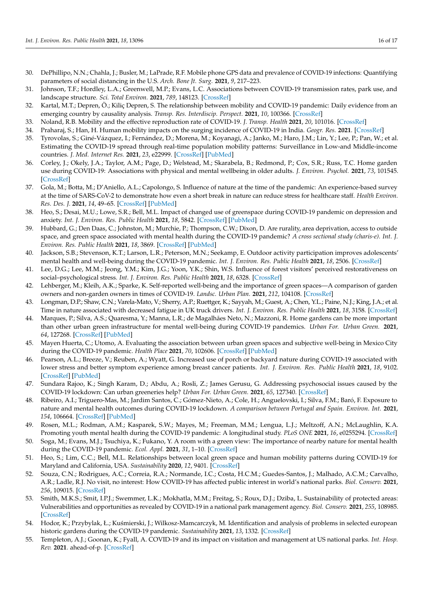- <span id="page-16-36"></span><span id="page-16-35"></span><span id="page-16-34"></span><span id="page-16-33"></span><span id="page-16-32"></span><span id="page-16-31"></span><span id="page-16-30"></span><span id="page-16-29"></span><span id="page-16-28"></span><span id="page-16-27"></span><span id="page-16-26"></span><span id="page-16-0"></span>30. DePhillipo, N.N.; Chahla, J.; Busler, M.; LaPrade, R.F. Mobile phone GPS data and prevalence of COVID-19 infections: Quantifying parameters of social distancing in the U.S. *Arch. Bone Jt. Surg.* **2021**, *9*, 217–223.
- <span id="page-16-37"></span><span id="page-16-1"></span>31. Johnson, T.F.; Hordley, L.A.; Greenwell, M.P.; Evans, L.C. Associations between COVID-19 transmission rates, park use, and landscape structure. *Sci. Total Environ.* **2021**, *789*, 148123. [\[CrossRef\]](http://doi.org/10.1016/j.scitotenv.2021.148123)
- <span id="page-16-38"></span><span id="page-16-2"></span>32. Kartal, M.T.; Depren, Ö.; Kiliç Depren, S. The relationship between mobility and COVID-19 pandemic: Daily evidence from an emerging country by causality analysis. *Transp. Res. Interdiscip. Perspect.* **2021**, *10*, 100366. [\[CrossRef\]](http://doi.org/10.1016/j.trip.2021.100366)
- <span id="page-16-39"></span><span id="page-16-3"></span>33. Noland, R.B. Mobility and the effective reproduction rate of COVID-19. *J. Transp. Health* **2021**, *20*, 101016. [\[CrossRef\]](http://doi.org/10.1016/j.jth.2021.101016)
- <span id="page-16-4"></span>34. Praharaj, S.; Han, H. Human mobility impacts on the surging incidence of COVID-19 in India. *Geogr. Res.* **2021**. [\[CrossRef\]](http://doi.org/10.1111/1745-5871.12502)
- <span id="page-16-40"></span><span id="page-16-5"></span>35. Tyrovolas, S.; Giné-Vázquez, I.; Fernández, D.; Morena, M.; Koyanagi, A.; Janko, M.; Haro, J.M.; Lin, Y.; Lee, P.; Pan, W.; et al. Estimating the COVID-19 spread through real-time population mobility patterns: Surveillance in Low-and Middle-income countries. *J. Med. Internet Res.* **2021**, *23*, e22999. [\[CrossRef\]](http://doi.org/10.2196/22999) [\[PubMed\]](http://www.ncbi.nlm.nih.gov/pubmed/33950850)
- <span id="page-16-41"></span><span id="page-16-6"></span>36. Corley, J.; Okely, J.A.; Taylor, A.M.; Page, D.; Welstead, M.; Skarabela, B.; Redmond, P.; Cox, S.R.; Russ, T.C. Home garden use during COVID-19: Associations with physical and mental wellbeing in older adults. *J. Environ. Psychol.* **2021**, *73*, 101545. [\[CrossRef\]](http://doi.org/10.1016/j.jenvp.2020.101545)
- <span id="page-16-42"></span><span id="page-16-7"></span>37. Gola, M.; Botta, M.; D'Aniello, A.L.; Capolongo, S. Influence of nature at the time of the pandemic: An experience-based survey at the time of SARS-CoV-2 to demonstrate how even a short break in nature can reduce stress for healthcare staff. *Health Environ. Res. Des. J.* **2021**, *14*, 49–65. [\[CrossRef\]](http://doi.org/10.1177/1937586721991113) [\[PubMed\]](http://www.ncbi.nlm.nih.gov/pubmed/33596709)
- <span id="page-16-43"></span><span id="page-16-8"></span>38. Heo, S.; Desai, M.U.; Lowe, S.R.; Bell, M.L. Impact of changed use of greenspace during COVID-19 pandemic on depression and anxiety. *Int. J. Environ. Res. Public Health* **2021**, *18*, 5842. [\[CrossRef\]](http://doi.org/10.3390/ijerph18115842) [\[PubMed\]](http://www.ncbi.nlm.nih.gov/pubmed/34072368)
- <span id="page-16-44"></span><span id="page-16-9"></span>39. Hubbard, G.; Den Daas, C.; Johnston, M.; Murchie, P.; Thompson, C.W.; Dixon, D. Are rurality, area deprivation, access to outside space, and green space associated with mental health during the COVID-19 pandemic? *A cross sectional study (charis-e). Int. J. Environ. Res. Public Health* **2021**, *18*, 3869. [\[CrossRef\]](http://doi.org/10.3390/ijerph18083869) [\[PubMed\]](http://www.ncbi.nlm.nih.gov/pubmed/33917067)
- <span id="page-16-45"></span><span id="page-16-10"></span>40. Jackson, S.B.; Stevenson, K.T.; Larson, L.R.; Peterson, M.N.; Seekamp, E. Outdoor activity participation improves adolescents' mental health and well-being during the COVID-19 pandemic. *Int. J. Environ. Res. Public Health* **2021**, *18*, 2506. [\[CrossRef\]](http://doi.org/10.3390/ijerph18052506)
- <span id="page-16-46"></span><span id="page-16-11"></span>41. Lee, D.G.; Lee, M.M.; Jeong, Y.M.; Kim, J.G.; Yoon, Y.K.; Shin, W.S. Influence of forest visitors' perceived restorativeness on social–psychological stress. *Int. J. Environ. Res. Public Health* **2021**, *18*, 6328. [\[CrossRef\]](http://doi.org/10.3390/ijerph18126328)
- <span id="page-16-12"></span>42. Lehberger, M.; Kleih, A.K.; Sparke, K. Self-reported well-being and the importance of green spaces—A comparison of garden owners and non-garden owners in times of COVID-19. *Landsc. Urban Plan.* **2021**, *212*, 104108. [\[CrossRef\]](http://doi.org/10.1016/j.landurbplan.2021.104108)
- <span id="page-16-13"></span>43. Longman, D.P.; Shaw, C.N.; Varela-Mato, V.; Sherry, A.P.; Ruettger, K.; Sayyah, M.; Guest, A.; Chen, Y.L.; Paine, N.J.; King, J.A.; et al. Time in nature associated with decreased fatigue in UK truck drivers. *Int. J. Environ. Res. Public Health* **2021**, *18*, 3158. [\[CrossRef\]](http://doi.org/10.3390/ijerph18063158)
- <span id="page-16-14"></span>44. Marques, P.; Silva, A.S.; Quaresma, Y.; Manna, L.R.; de Magalhães Neto, N.; Mazzoni, R. Home gardens can be more important than other urban green infrastructure for mental well-being during COVID-19 pandemics. *Urban For. Urban Green.* **2021**, *64*, 127268. [\[CrossRef\]](http://doi.org/10.1016/j.ufug.2021.127268) [\[PubMed\]](http://www.ncbi.nlm.nih.gov/pubmed/34493938)
- <span id="page-16-15"></span>45. Mayen Huerta, C.; Utomo, A. Evaluating the association between urban green spaces and subjective well-being in Mexico City during the COVID-19 pandemic. *Health Place* **2021**, *70*, 102606. [\[CrossRef\]](http://doi.org/10.1016/j.healthplace.2021.102606) [\[PubMed\]](http://www.ncbi.nlm.nih.gov/pubmed/34139612)
- <span id="page-16-16"></span>46. Pearson, A.L.; Breeze, V.; Reuben, A.; Wyatt, G. Increased use of porch or backyard nature during COVID-19 associated with lower stress and better symptom experience among breast cancer patients. *Int. J. Environ. Res. Public Health* **2021**, *18*, 9102. [\[CrossRef\]](http://doi.org/10.3390/ijerph18179102) [\[PubMed\]](http://www.ncbi.nlm.nih.gov/pubmed/34501691)
- <span id="page-16-17"></span>47. Sundara Rajoo, K.; Singh Karam, D.; Abdu, A.; Rosli, Z.; James Gerusu, G. Addressing psychosocial issues caused by the COVID-19 lockdown: Can urban greeneries help? *Urban For. Urban Green.* **2021**, *65*, 127340. [\[CrossRef\]](http://doi.org/10.1016/j.ufug.2021.127340)
- <span id="page-16-18"></span>48. Ribeiro, A.I.; Triguero-Mas, M.; Jardim Santos, C.; Gómez-Nieto, A.; Cole, H.; Anguelovski, I.; Silva, F.M.; Baró, F. Exposure to nature and mental health outcomes during COVID-19 lockdown. *A comparison between Portugal and Spain. Environ. Int.* **2021**, *154*, 106664. [\[CrossRef\]](http://doi.org/10.1016/J.ENVINT.2021.106664) [\[PubMed\]](http://www.ncbi.nlm.nih.gov/pubmed/34082237)
- <span id="page-16-19"></span>49. Rosen, M.L.; Rodman, A.M.; Kasparek, S.W.; Mayes, M.; Freeman, M.M.; Lengua, L.J.; Meltzoff, A.N.; McLaughlin, K.A. Promoting youth mental health during the COVID-19 pandemic: A longitudinal study. *PLoS ONE* **2021**, *16*, e0255294. [\[CrossRef\]](http://doi.org/10.1371/journal.pone.0255294)
- <span id="page-16-20"></span>50. Soga, M.; Evans, M.J.; Tsuchiya, K.; Fukano, Y. A room with a green view: The importance of nearby nature for mental health during the COVID-19 pandemic. *Ecol. Appl.* **2021**, *31*, 1–10. [\[CrossRef\]](http://doi.org/10.1002/eap.2248)
- <span id="page-16-21"></span>51. Heo, S.; Lim, C.C.; Bell, M.L. Relationships between local green space and human mobility patterns during COVID-19 for Maryland and California, USA. *Sustainability* **2020**, *12*, 9401. [\[CrossRef\]](http://doi.org/10.3390/su12229401)
- <span id="page-16-22"></span>52. Souza, C.N.; Rodrigues, A.C.; Correia, R.A.; Normande, I.C.; Costa, H.C.M.; Guedes-Santos, J.; Malhado, A.C.M.; Carvalho, A.R.; Ladle, R.J. No visit, no interest: How COVID-19 has affected public interest in world's national parks. *Biol. Conserv.* **2021**, *256*, 109015. [\[CrossRef\]](http://doi.org/10.1016/j.biocon.2021.109015)
- <span id="page-16-23"></span>53. Smith, M.K.S.; Smit, I.P.J.; Swemmer, L.K.; Mokhatla, M.M.; Freitag, S.; Roux, D.J.; Dziba, L. Sustainability of protected areas: Vulnerabilities and opportunities as revealed by COVID-19 in a national park management agency. *Biol. Conserv.* **2021**, *255*, 108985. [\[CrossRef\]](http://doi.org/10.1016/j.biocon.2021.108985)
- <span id="page-16-24"></span>54. Hodor, K.; Przybylak, Ł.; Kuśmierski, J.; Wilkosz-Mamcarczyk, M. Identification and analysis of problems in selected european historic gardens during the COVID-19 pandemic. *Sustainability* **2021**, *13*, 1332. [\[CrossRef\]](http://doi.org/10.3390/su13031332)
- <span id="page-16-25"></span>55. Templeton, A.J.; Goonan, K.; Fyall, A. COVID-19 and its impact on visitation and management at US national parks. *Int. Hosp. Rev.* **2021**. ahead-of-p. [\[CrossRef\]](http://doi.org/10.1108/IHR-08-2020-0039)